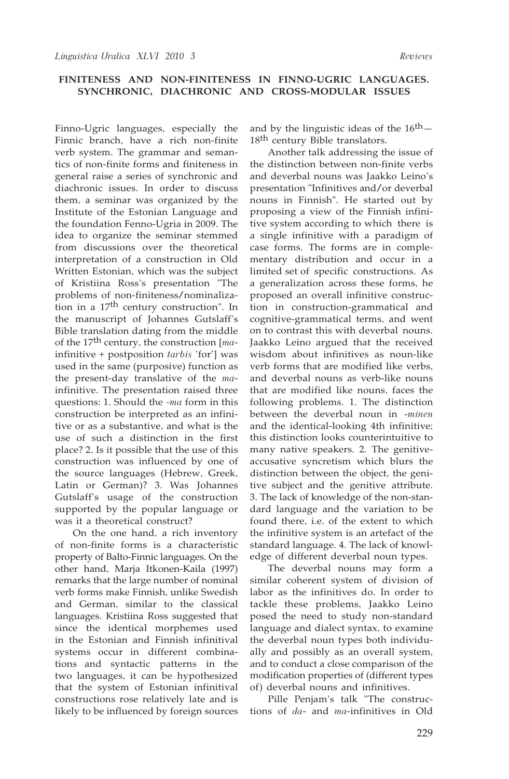Finno-Ugric languages, especially the Finnic branch, have a rich non-finite verb system. The grammar and semantics of non-finite forms and finiteness in general raise a series of synchronic and diachronic issues. In order to discuss them, a seminar was organized by the Institute of the Estonian Language and the foundation Fenno-Ugria in 2009. The idea to organize the seminar stemmed from discussions over the theoretical interpretation of a construction in Old Written Estonian, which was the subject of Kristiina Ross's presentation "The problems of non-finiteness/nominalization in a 17th century construction". In the manuscript of Johannes Gutslaff's Bible translation dating from the middle of the 17th century, the construction [*ma*infinitive + postposition *tarbis* 'for'] was used in the same (purposive) function as the present-day translative of the *ma*infinitive. The presentation raised three questions: 1. Should the *-ma* form in this construction be interpreted as an infinitive or as a substantive, and what is the use of such a distinction in the first place? 2. Is it possible that the use of this construction was influenced by one of the source languages (Hebrew, Greek, Latin or German)? 3. Was Johannes Gutslaff's usage of the construction supported by the popular language or was it a theoretical construct?

On the one hand, a rich inventory of non-finite forms is a characteristic property of Balto-Finnic languages. On the other hand, Marja Itkonen-Kaila (1997) remarks that the large number of nominal verb forms make Finnish, unlike Swedish and German, similar to the classical languages. Kristiina Ross suggested that since the identical morphemes used in the Estonian and Finnish infinitival systems occur in different combinations and syntactic patterns in the two languages, it can be hypothesized that the system of Estonian infinitival constructions rose relatively late and is likely to be influenced by foreign sources

and by the linguistic ideas of the  $16<sup>th</sup>$ -18<sup>th</sup> century Bible translators.

Another talk addressing the issue of the distinction between non-finite verbs and deverbal nouns was Jaakko Leino's presentation "Infinitives and/or deverbal nouns in Finnish". He started out by proposing a view of the Finnish infinitive system according to which there is a single infinitive with a paradigm of case forms. The forms are in complementary distribution and occur in a limited set of specific constructions. As a generalization across these forms, he proposed an overall infinitive construction in construction-grammatical and cognitive-grammatical terms, and went on to contrast this with deverbal nouns. Jaakko Leino argued that the received wisdom about infinitives as noun-like verb forms that are modified like verbs, and deverbal nouns as verb-like nouns that are modified like nouns, faces the following problems. 1. The distinction between the deverbal noun in -*minen* and the identical-looking 4th infinitive; this distinction looks counterintuitive to many native speakers. 2. The genitiveaccusative syncretism which blurs the distinction between the object, the genitive subject and the genitive attribute. 3. The lack of knowledge of the non-standard language and the variation to be found there, i.e. of the extent to which the infinitive system is an artefact of the standard language. 4. The lack of knowledge of different deverbal noun types.

The deverbal nouns may form a similar coherent system of division of labor as the infinitives do. In order to tackle these problems, Jaakko Leino posed the need to study non-standard language and dialect syntax, to examine the deverbal noun types both individually and possibly as an overall system, and to conduct a close comparison of the modification properties of (different types of) deverbal nouns and infinitives.

Pille Penjam's talk "The constructions of *da*- and *ma*-infinitives in Old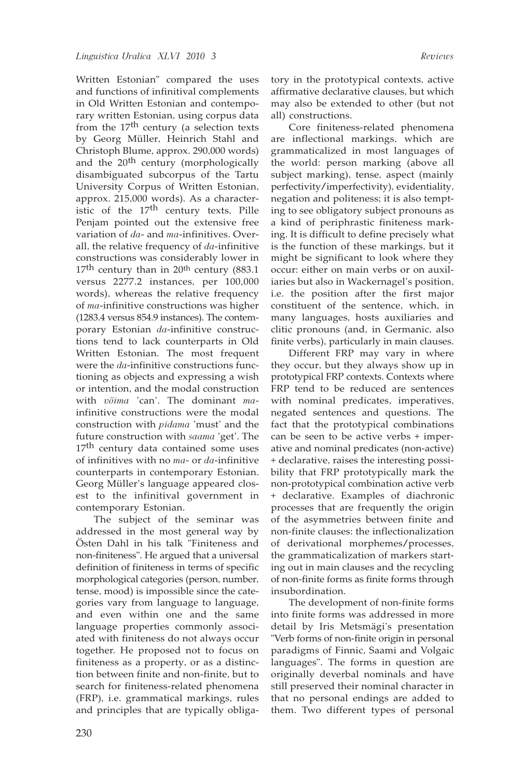Written Estonian" compared the uses and functions of infinitival complements in Old Written Estonian and contemporary written Estonian, using corpus data from the 17<sup>th</sup> century (a selection texts by Georg Müller, Heinrich Stahl and Christoph Blume, approx. 290,000 words) and the 20<sup>th</sup> century (morphologically disambiguated subcorpus of the Tartu University Corpus of Written Estonian, approx. 215,000 words). As a characteristic of the  $17<sup>th</sup>$  century texts, Pille Penjam pointed out the extensive free variation of *da*- and *ma*-infinitives. Overall, the relative frequency of *da*-infinitive constructions was considerably lower in  $17<sup>th</sup>$  century than in 20<sup>th</sup> century (883.1) versus 2277.2 instances, per 100,000 words), whereas the relative frequency of *ma*-infinitive constructions was higher (1283.4 versus 854.9 instances). The contemporary Estonian *da*-infinitive constructions tend to lack counterparts in Old Written Estonian. The most frequent were the *da*-infinitive constructions functioning as objects and expressing a wish or intention, and the modal construction with *võima* 'can'. The dominant *ma*infinitive constructions were the modal construction with *pidama* 'must' and the future construction with *saama* 'get'. The 17<sup>th</sup> century data contained some uses of infinitives with no *ma*- or *da*-infinitive counterparts in contemporary Estonian. Georg Müller's language appeared closest to the infinitival government in contemporary Estonian.

The subject of the seminar was addressed in the most general way by Östen Dahl in his talk "Finiteness and non-finiteness". He argued that a universal definition of finiteness in terms of specific morphological categories (person, number, tense, mood) is impossible since the categories vary from language to language, and even within one and the same language properties commonly associated with finiteness do not always occur together. He proposed not to focus on finiteness as a property, or as a distinction between finite and non-finite, but to search for finiteness-related phenomena (FRP), i.e. grammatical markings, rules and principles that are typically obligatory in the prototypical contexts, active affirmative declarative clauses, but which may also be extended to other (but not all) constructions.

Core finiteness-related phenomena are inflectional markings, which are grammaticalized in most languages of the world: person marking (above all subject marking), tense, aspect (mainly perfectivity/imperfectivity), evidentiality, negation and politeness; it is also tempting to see obligatory subject pronouns as a kind of periphrastic finiteness marking. It is difficult to define precisely what is the function of these markings, but it might be significant to look where they occur: either on main verbs or on auxiliaries but also in Wackernagel's position, i.e. the position after the first major constituent of the sentence, which, in many languages, hosts auxiliaries and clitic pronouns (and, in Germanic, also finite verbs), particularly in main clauses.

Different FRP may vary in where they occur, but they always show up in prototypical FRP contexts. Contexts where FRP tend to be reduced are sentences with nominal predicates, imperatives, negated sentences and questions. The fact that the prototypical combinations can be seen to be active verbs + imperative and nominal predicates (non-active) + declarative, raises the interesting possibility that FRP prototypically mark the non-prototypical combination active verb + declarative. Examples of diachronic processes that are frequently the origin of the asymmetries between finite and non-finite clauses: the inflectionalization of derivational morphemes/processes, the grammaticalization of markers starting out in main clauses and the recycling of non-finite forms as finite forms through insubordination.

The development of non-finite forms into finite forms was addressed in more detail by Iris Metsmägi's presentation "Verb forms of non-finite origin in personal paradigms of Finnic, Saami and Volgaic languages". The forms in question are originally deverbal nominals and have still preserved their nominal character in that no personal endings are added to them. Two different types of personal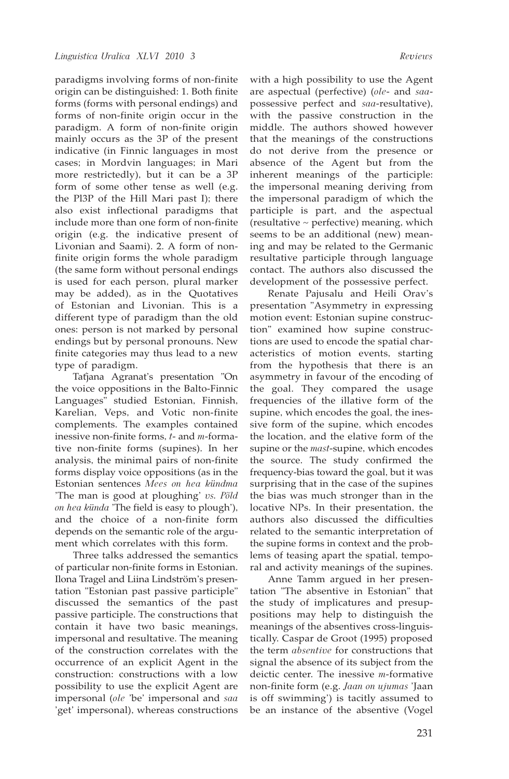paradigms involving forms of non-finite origin can be distinguished: 1. Both finite forms (forms with personal endings) and forms of non-finite origin occur in the paradigm. A form of non-finite origin mainly occurs as the 3P of the present indicative (in Finnic languages in most cases; in Mordvin languages; in Mari more restrictedly), but it can be a 3P form of some other tense as well (e.g. the Pl3P of the Hill Mari past I); there also exist inflectional paradigms that include more than one form of non-finite origin (e.g. the indicative present of Livonian and Saami). 2. A form of nonfinite origin forms the whole paradigm (the same form without personal endings is used for each person, plural marker may be added), as in the Quotatives of Estonian and Livonian. This is a different type of paradigm than the old ones: person is not marked by personal endings but by personal pronouns. New finite categories may thus lead to a new type of paradigm.

Taťjana Agranaťs presentation "On the voice oppositions in the Balto-Finnic Languages" studied Estonian, Finnish, Karelian, Veps, and Votic non-finite complements. The examples contained inessive non-finite forms, *t*- and *m*-formative non-finite forms (supines). In her analysis, the minimal pairs of non-finite forms display voice oppositions (as in the Estonian sentences *Mees on hea kündma* 'The man is good at ploughing' *vs. Põld on hea künda* 'The field is easy to plough'), and the choice of a non-finite form depends on the semantic role of the argument which correlates with this form.

Three talks addressed the semantics of particular non-finite forms in Estonian. Ilona Tragel and Liina Lindström's presentation "Estonian past passive participle" discussed the semantics of the past passive participle. The constructions that contain it have two basic meanings, impersonal and resultative. The meaning of the construction correlates with the occurrence of an explicit Agent in the construction: constructions with a low possibility to use the explicit Agent are impersonal (*ole* 'be' impersonal and *saa* 'get' impersonal), whereas constructions

with a high possibility to use the Agent are aspectual (perfective) (*ole*- and *saa*possessive perfect and *saa*-resultative), with the passive construction in the middle. The authors showed however that the meanings of the constructions do not derive from the presence or absence of the Agent but from the inherent meanings of the participle: the impersonal meaning deriving from the impersonal paradigm of which the participle is part, and the aspectual (resultative ~ perfective) meaning, which seems to be an additional (new) meaning and may be related to the Germanic resultative participle through language contact. The authors also discussed the development of the possessive perfect.

Renate Pajusalu and Heili Orav's presentation "Asymmetry in expressing motion event: Estonian supine construction" examined how supine constructions are used to encode the spatial characteristics of motion events, starting from the hypothesis that there is an asymmetry in favour of the encoding of the goal. They compared the usage frequencies of the illative form of the supine, which encodes the goal, the inessive form of the supine, which encodes the location, and the elative form of the supine or the *mast*-supine, which encodes the source. The study confirmed the frequency-bias toward the goal, but it was surprising that in the case of the supines the bias was much stronger than in the locative NPs. In their presentation, the authors also discussed the difficulties related to the semantic interpretation of the supine forms in context and the problems of teasing apart the spatial, temporal and activity meanings of the supines.

Anne Tamm argued in her presentation "The absentive in Estonian" that the study of implicatures and presuppositions may help to distinguish the meanings of the absentives cross-linguistically. Caspar de Groot (1995) proposed the term *absentive* for constructions that signal the absence of its subject from the deictic center. The inessive *m*-formative non-finite form (e.g. *Jaan on ujumas* 'Jaan is off swimming') is tacitly assumed to be an instance of the absentive (Vogel